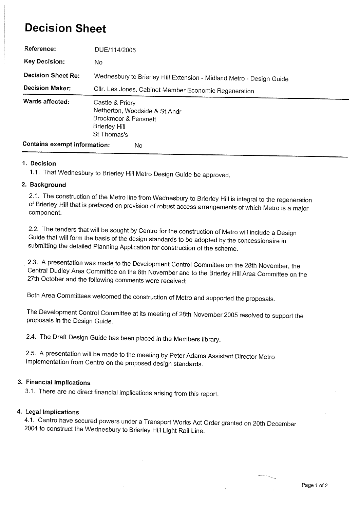## Decision Sheet

| Reference:                                | DUE/114/2005                                                                                                    |
|-------------------------------------------|-----------------------------------------------------------------------------------------------------------------|
| <b>Key Decision:</b>                      | No.                                                                                                             |
| <b>Decision Sheet Re:</b>                 | Wednesbury to Brierley Hill Extension - Midland Metro - Design Guide                                            |
| <b>Decision Maker:</b>                    | Cllr. Les Jones, Cabinet Member Economic Regeneration                                                           |
| Wards affected:                           | Castle & Priory<br>Netherton, Woodside & St.Andr<br>Brockmoor & Pensnett<br><b>Brierley Hill</b><br>St Thomas's |
| <b>Contains exempt information:</b><br>No |                                                                                                                 |

#### 1. Decision

1.1. That Wednesbury to Brierley Hill Metro Design Guide be approved.

#### 2. Background

2.1. The construction of the Metro line from Wednesbury to Brierley Hill is integral to the regeneration of Brierley Hill that is prefaced on provision of robust access arrangements of which Metro is a major component.

2.2. The tenders that will be sought by Centro for the construction of Metro wil include a Design Guide that will form the basis of the design standards to be adopted by the concessionaire in submitting the detailed Planning Application for construction of the scheme.

2.3. A presentation was made to the Development Control Committee on the 28th November, the Central Dudley Area Committee on the 8th November and to the Brierley Hil Area Committee on the 27th October and the following comments were received;

Both Area Committees welcomed the construction of Metro and supported the proposals.

The Development Control Committee at its meeting of 28th November 2005 resolved to support the proposals in the Design Guide.

2.4. The Draft Design Guide has been placed in the Members library.

2.5. A presentation will be made to the meeting by Peter Adams Assistant Director Metro Implementation from Centro on the proposed design standards.

#### 3. Financial Implications

3.1. There are no direct financial implications arising from this report.

#### 4. Legal Implications

4.1. Centro have secured powers under a Transport Works Act Order granted on 20th December 2004 to construct the Wednesbury to Brierley Hill Light Rail Line.